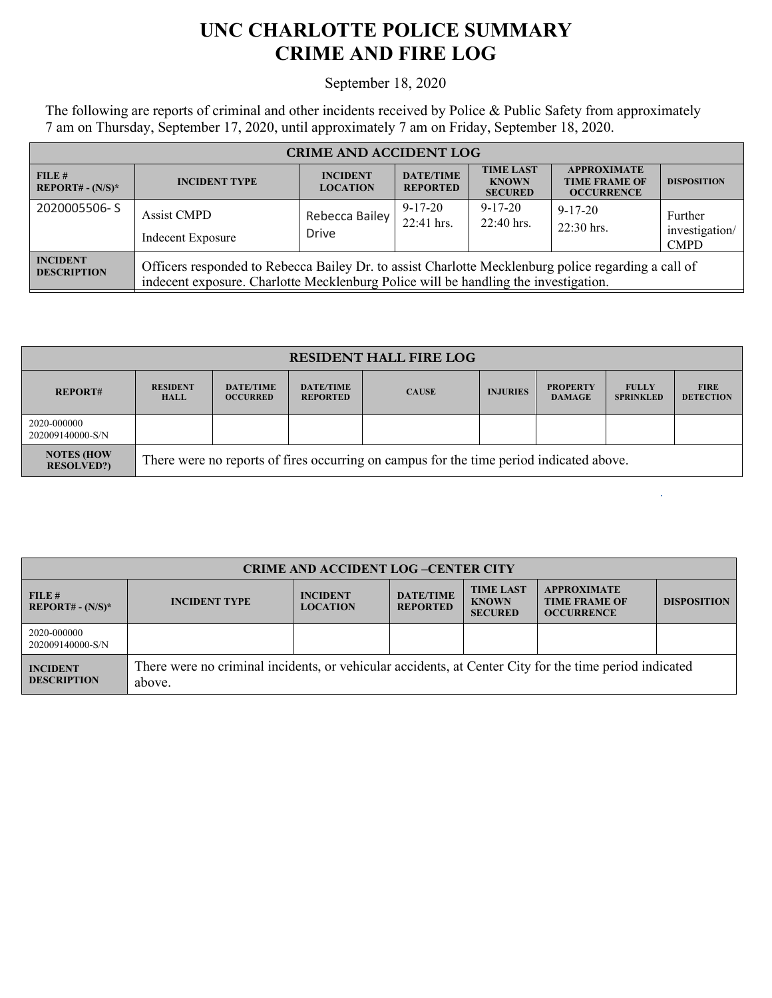## **UNC CHARLOTTE POLICE SUMMARY CRIME AND FIRE LOG**

## September 18, 2020

The following are reports of criminal and other incidents received by Police & Public Safety from approximately 7 am on Thursday, September 17, 2020, until approximately 7 am on Friday, September 18, 2020.

| <b>CRIME AND ACCIDENT LOG</b>         |                                                                                                                                                                                            |                                    |                                     |                                                    |                                                                 |                                          |  |
|---------------------------------------|--------------------------------------------------------------------------------------------------------------------------------------------------------------------------------------------|------------------------------------|-------------------------------------|----------------------------------------------------|-----------------------------------------------------------------|------------------------------------------|--|
| FILE#<br>$REPORT# - (N/S)*$           | <b>INCIDENT TYPE</b>                                                                                                                                                                       | <b>INCIDENT</b><br><b>LOCATION</b> | <b>DATE/TIME</b><br><b>REPORTED</b> | <b>TIME LAST</b><br><b>KNOWN</b><br><b>SECURED</b> | <b>APPROXIMATE</b><br><b>TIME FRAME OF</b><br><b>OCCURRENCE</b> | <b>DISPOSITION</b>                       |  |
| 2020005506-S                          | <b>Assist CMPD</b><br>Indecent Exposure                                                                                                                                                    | Rebecca Bailey<br><b>Drive</b>     | $9 - 17 - 20$<br>22:41 hrs.         | $9 - 17 - 20$<br>$22:40$ hrs.                      | $9 - 17 - 20$<br>22:30 hrs.                                     | Further<br>investigation/<br><b>CMPD</b> |  |
| <b>INCIDENT</b><br><b>DESCRIPTION</b> | Officers responded to Rebecca Bailey Dr. to assist Charlotte Mecklenburg police regarding a call of<br>indecent exposure. Charlotte Mecklenburg Police will be handling the investigation. |                                    |                                     |                                                    |                                                                 |                                          |  |

| <b>RESIDENT HALL FIRE LOG</b>          |                                                                                         |                                     |                                     |              |                 |                                  |                                  |                                 |
|----------------------------------------|-----------------------------------------------------------------------------------------|-------------------------------------|-------------------------------------|--------------|-----------------|----------------------------------|----------------------------------|---------------------------------|
| <b>REPORT#</b>                         | <b>RESIDENT</b><br><b>HALL</b>                                                          | <b>DATE/TIME</b><br><b>OCCURRED</b> | <b>DATE/TIME</b><br><b>REPORTED</b> | <b>CAUSE</b> | <b>INJURIES</b> | <b>PROPERTY</b><br><b>DAMAGE</b> | <b>FULLY</b><br><b>SPRINKLED</b> | <b>FIRE</b><br><b>DETECTION</b> |
| 2020-000000<br>202009140000-S/N        |                                                                                         |                                     |                                     |              |                 |                                  |                                  |                                 |
| <b>NOTES (HOW</b><br><b>RESOLVED?)</b> | There were no reports of fires occurring on campus for the time period indicated above. |                                     |                                     |              |                 |                                  |                                  |                                 |

| <b>CRIME AND ACCIDENT LOG-CENTER CITY</b> |                                                                                                                  |                                    |                                     |                                                    |                                                                 |                    |  |
|-------------------------------------------|------------------------------------------------------------------------------------------------------------------|------------------------------------|-------------------------------------|----------------------------------------------------|-----------------------------------------------------------------|--------------------|--|
| FILE #<br>$REPORT# - (N/S)^*$             | <b>INCIDENT TYPE</b>                                                                                             | <b>INCIDENT</b><br><b>LOCATION</b> | <b>DATE/TIME</b><br><b>REPORTED</b> | <b>TIME LAST</b><br><b>KNOWN</b><br><b>SECURED</b> | <b>APPROXIMATE</b><br><b>TIME FRAME OF</b><br><b>OCCURRENCE</b> | <b>DISPOSITION</b> |  |
| 2020-000000<br>202009140000-S/N           |                                                                                                                  |                                    |                                     |                                                    |                                                                 |                    |  |
| <b>INCIDENT</b><br><b>DESCRIPTION</b>     | There were no criminal incidents, or vehicular accidents, at Center City for the time period indicated<br>above. |                                    |                                     |                                                    |                                                                 |                    |  |